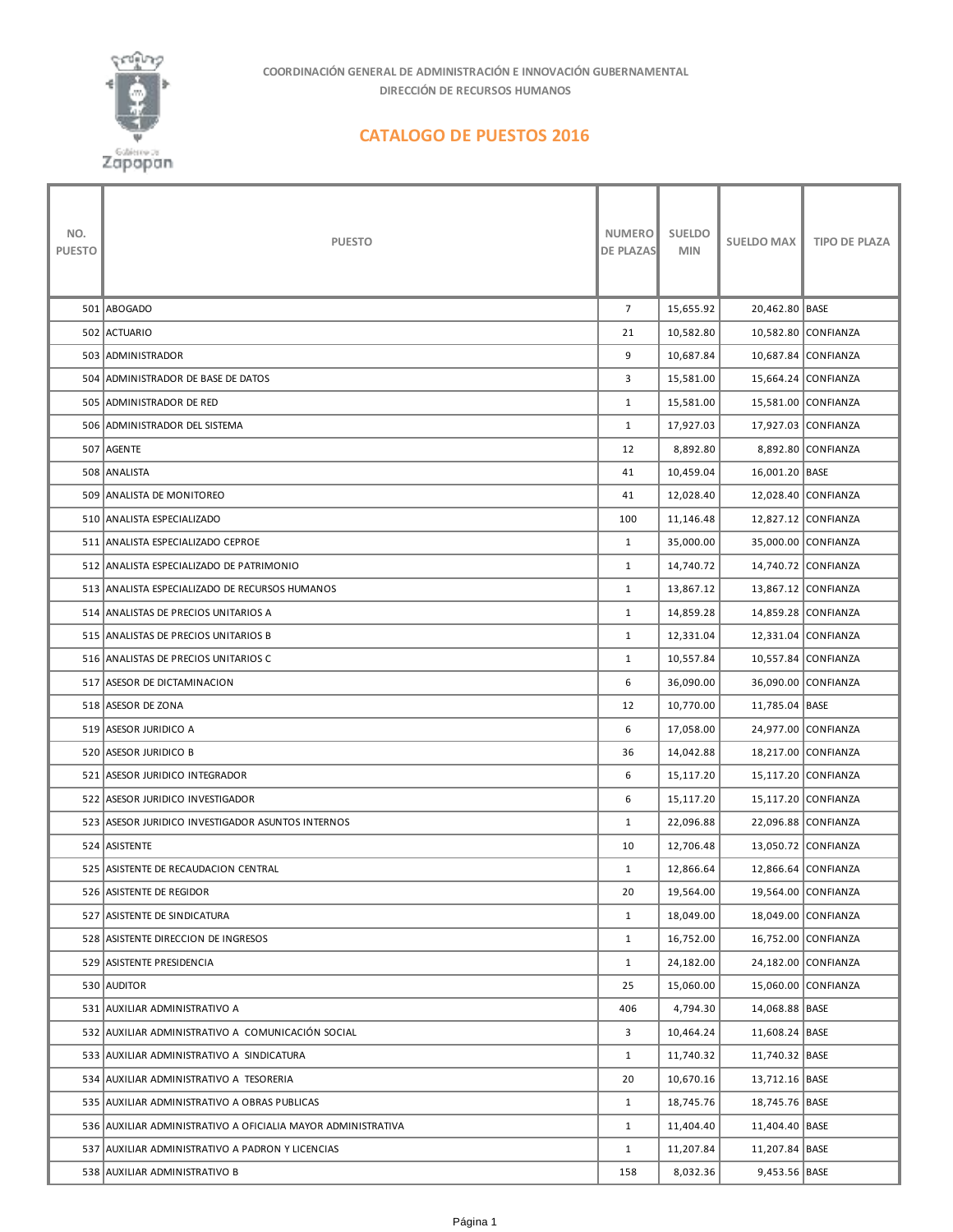

**COORDINACIÓN GENERAL DE ADMINISTRACIÓN E INNOVACIÓN GUBERNAMENTAL DIRECCIÓN DE RECURSOS HUMANOS**

## **CATALOGO DE PUESTOS 2016**

| NO.<br><b>PUESTO</b> | <b>PUESTO</b>                                                | NUMERO<br><b>DE PLAZAS</b> | <b>SUELDO</b><br><b>MIN</b> | <b>SUELDO MAX</b> | <b>TIPO DE PLAZA</b> |
|----------------------|--------------------------------------------------------------|----------------------------|-----------------------------|-------------------|----------------------|
|                      | 501 ABOGADO                                                  | $\overline{7}$             | 15,655.92                   | 20,462.80   BASE  |                      |
|                      | 502 ACTUARIO                                                 | 21                         | 10,582.80                   |                   | 10,582.80 CONFIANZA  |
|                      | 503 ADMINISTRADOR                                            | 9                          | 10,687.84                   |                   | 10,687.84 CONFIANZA  |
|                      | 504 ADMINISTRADOR DE BASE DE DATOS                           | 3                          | 15,581.00                   |                   | 15,664.24 CONFIANZA  |
|                      | 505 ADMINISTRADOR DE RED                                     | $\mathbf{1}$               | 15,581.00                   |                   | 15,581.00 CONFIANZA  |
|                      | 506 ADMINISTRADOR DEL SISTEMA                                | $\mathbf{1}$               | 17,927.03                   |                   | 17,927.03 CONFIANZA  |
|                      | 507 AGENTE                                                   | 12                         | 8,892.80                    |                   | 8,892.80 CONFIANZA   |
|                      | 508 ANALISTA                                                 | 41                         | 10,459.04                   | 16,001.20 BASE    |                      |
|                      | 509 ANALISTA DE MONITOREO                                    | 41                         | 12,028.40                   |                   | 12,028.40 CONFIANZA  |
|                      | 510 ANALISTA ESPECIALIZADO                                   | 100                        | 11,146.48                   |                   | 12,827.12 CONFIANZA  |
|                      | 511 ANALISTA ESPECIALIZADO CEPROE                            | $\mathbf{1}$               | 35,000.00                   |                   | 35,000.00 CONFIANZA  |
|                      | 512 ANALISTA ESPECIALIZADO DE PATRIMONIO                     | $\mathbf{1}$               | 14,740.72                   |                   | 14,740.72 CONFIANZA  |
|                      | 513 ANALISTA ESPECIALIZADO DE RECURSOS HUMANOS               | $\mathbf{1}$               | 13,867.12                   |                   | 13,867.12 CONFIANZA  |
|                      | 514 ANALISTAS DE PRECIOS UNITARIOS A                         | $\mathbf{1}$               | 14,859.28                   |                   | 14,859.28 CONFIANZA  |
|                      | 515 ANALISTAS DE PRECIOS UNITARIOS B                         | $\mathbf{1}$               | 12,331.04                   |                   | 12,331.04 CONFIANZA  |
|                      | 516 ANALISTAS DE PRECIOS UNITARIOS C                         | $\mathbf{1}$               | 10,557.84                   |                   | 10,557.84 CONFIANZA  |
|                      | 517 ASESOR DE DICTAMINACION                                  | 6                          | 36,090.00                   |                   | 36,090.00 CONFIANZA  |
|                      | 518 ASESOR DE ZONA                                           | 12                         | 10,770.00                   | 11,785.04   BASE  |                      |
|                      | 519 ASESOR JURIDICO A                                        | 6                          | 17,058.00                   |                   | 24,977.00 CONFIANZA  |
|                      | 520 ASESOR JURIDICO B                                        | 36                         | 14,042.88                   |                   | 18,217.00 CONFIANZA  |
|                      | 521 ASESOR JURIDICO INTEGRADOR                               | 6                          | 15,117.20                   |                   | 15,117.20 CONFIANZA  |
|                      | 522 ASESOR JURIDICO INVESTIGADOR                             | 6                          | 15,117.20                   |                   | 15,117.20 CONFIANZA  |
|                      | 523 ASESOR JURIDICO INVESTIGADOR ASUNTOS INTERNOS            | $\mathbf{1}$               | 22,096.88                   |                   | 22,096.88 CONFIANZA  |
|                      | 524 ASISTENTE                                                | 10                         | 12,706.48                   |                   | 13,050.72 CONFIANZA  |
|                      | 525 ASISTENTE DE RECAUDACION CENTRAL                         | $\mathbf{1}$               | 12,866.64                   |                   | 12,866.64 CONFIANZA  |
|                      | 526 ASISTENTE DE REGIDOR                                     | 20                         | 19,564.00                   |                   | 19,564.00 CONFIANZA  |
|                      | 527 ASISTENTE DE SINDICATURA                                 | $\mathbf{1}$               | 18,049.00                   |                   | 18,049.00 CONFIANZA  |
|                      | 528 ASISTENTE DIRECCION DE INGRESOS                          | $\mathbf{1}$               | 16,752.00                   |                   | 16,752.00 CONFIANZA  |
|                      | 529 ASISTENTE PRESIDENCIA                                    | $\mathbf{1}$               | 24,182.00                   |                   | 24,182.00 CONFIANZA  |
|                      | 530 AUDITOR                                                  | 25                         | 15,060.00                   |                   | 15,060.00 CONFIANZA  |
|                      | 531 AUXILIAR ADMINISTRATIVO A                                | 406                        | 4,794.30                    | 14,068.88 BASE    |                      |
|                      | 532 AUXILIAR ADMINISTRATIVO A COMUNICACIÓN SOCIAL            | 3                          | 10,464.24                   | 11,608.24 BASE    |                      |
|                      | 533 AUXILIAR ADMINISTRATIVO A SINDICATURA                    | $\mathbf{1}$               | 11,740.32                   | 11,740.32 BASE    |                      |
|                      | 534 AUXILIAR ADMINISTRATIVO A TESORERIA                      | 20                         | 10,670.16                   | 13,712.16 BASE    |                      |
|                      | 535 AUXILIAR ADMINISTRATIVO A OBRAS PUBLICAS                 | $\mathbf{1}$               | 18,745.76                   | 18,745.76 BASE    |                      |
|                      | 536 AUXILIAR ADMINISTRATIVO A OFICIALIA MAYOR ADMINISTRATIVA | $\mathbf{1}$               | 11,404.40                   | 11,404.40 BASE    |                      |
|                      | 537 AUXILIAR ADMINISTRATIVO A PADRON Y LICENCIAS             | $\mathbf{1}$               | 11,207.84                   | 11,207.84 BASE    |                      |
|                      | 538 AUXILIAR ADMINISTRATIVO B                                | 158                        | 8,032.36                    | 9,453.56 BASE     |                      |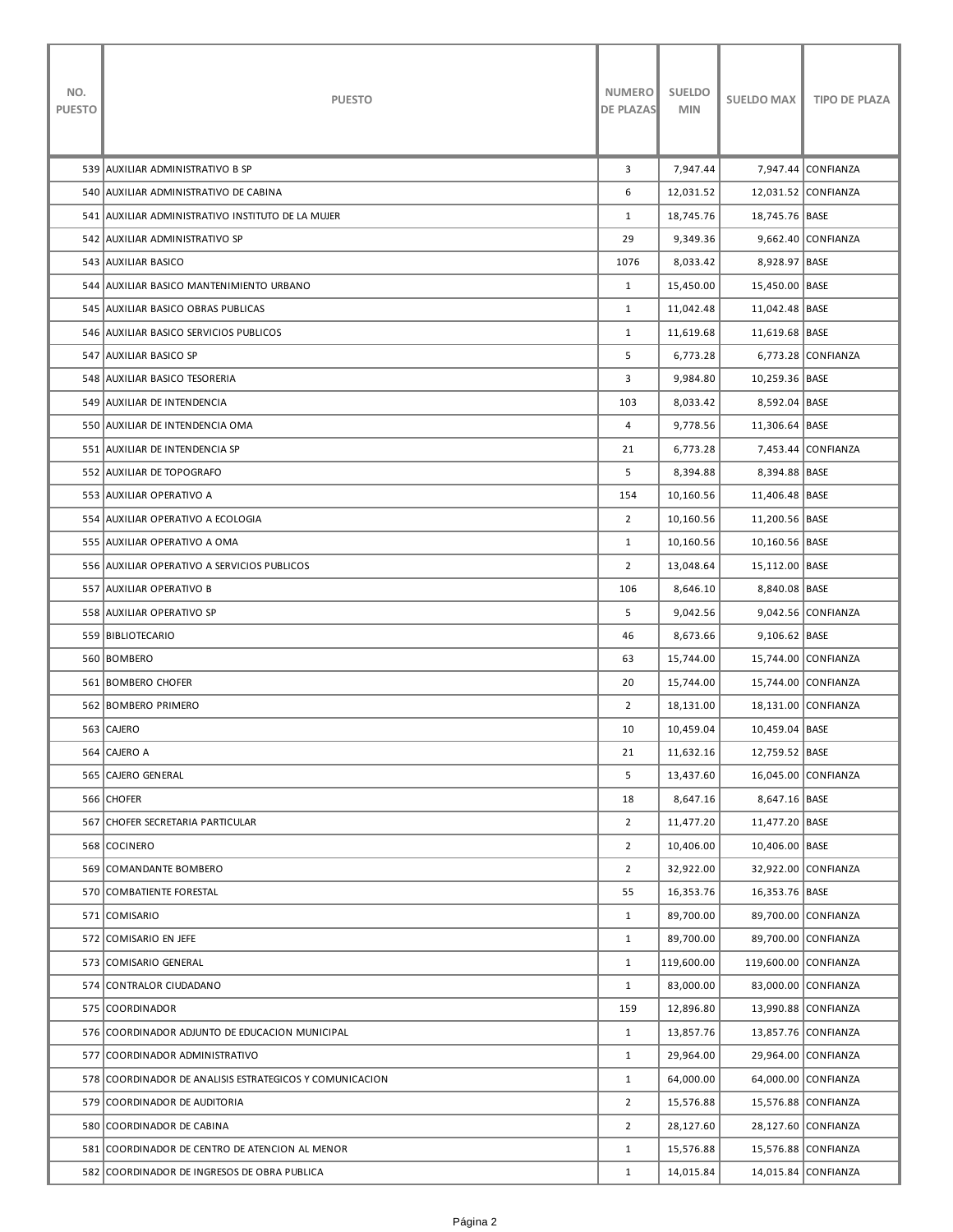| NO.<br><b>PUESTO</b> | <b>PUESTO</b>                                           | <b>NUMERO</b><br><b>DE PLAZAS</b> | <b>SUELDO</b><br><b>MIN</b> | <b>SUELDO MAX</b> | <b>TIPO DE PLAZA</b> |
|----------------------|---------------------------------------------------------|-----------------------------------|-----------------------------|-------------------|----------------------|
|                      | 539 AUXILIAR ADMINISTRATIVO B SP                        | 3                                 | 7,947.44                    |                   | 7,947.44 CONFIANZA   |
|                      | 540 AUXILIAR ADMINISTRATIVO DE CABINA                   | 6                                 | 12,031.52                   |                   | 12,031.52 CONFIANZA  |
|                      | 541 AUXILIAR ADMINISTRATIVO INSTITUTO DE LA MUJER       | $\mathbf{1}$                      | 18,745.76                   | 18,745.76 BASE    |                      |
|                      | 542 AUXILIAR ADMINISTRATIVO SP                          | 29                                | 9,349.36                    |                   | 9,662.40 CONFIANZA   |
|                      | 543   AUXILIAR BASICO                                   | 1076                              | 8,033.42                    | 8,928.97 BASE     |                      |
|                      | 544 AUXILIAR BASICO MANTENIMIENTO URBANO                | $\mathbf{1}$                      | 15,450.00                   | 15,450.00 BASE    |                      |
|                      | 545 AUXILIAR BASICO OBRAS PUBLICAS                      | $\mathbf{1}$                      | 11,042.48                   | 11,042.48 BASE    |                      |
|                      | 546 AUXILIAR BASICO SERVICIOS PUBLICOS                  | $\mathbf{1}$                      | 11,619.68                   | 11,619.68 BASE    |                      |
|                      | 547   AUXILIAR BASICO SP                                | 5                                 | 6,773.28                    |                   | 6,773.28 CONFIANZA   |
|                      | 548 AUXILIAR BASICO TESORERIA                           | 3                                 | 9,984.80                    | 10,259.36 BASE    |                      |
|                      | 549 AUXILIAR DE INTENDENCIA                             | 103                               | 8,033.42                    | 8,592.04 BASE     |                      |
|                      | 550 AUXILIAR DE INTENDENCIA OMA                         | 4                                 | 9,778.56                    | 11,306.64   BASE  |                      |
|                      | 551 AUXILIAR DE INTENDENCIA SP                          | 21                                | 6,773.28                    |                   | 7,453.44 CONFIANZA   |
|                      | 552 AUXILIAR DE TOPOGRAFO                               | 5                                 | 8,394.88                    | 8,394.88 BASE     |                      |
|                      | 553 AUXILIAR OPERATIVO A                                | 154                               | 10,160.56                   | 11,406.48   BASE  |                      |
|                      | 554 AUXILIAR OPERATIVO A ECOLOGIA                       | $\overline{2}$                    | 10,160.56                   | 11,200.56 BASE    |                      |
|                      | 555 AUXILIAR OPERATIVO A OMA                            | $\mathbf{1}$                      | 10,160.56                   | 10,160.56  BASE   |                      |
|                      | 556 AUXILIAR OPERATIVO A SERVICIOS PUBLICOS             | $\overline{2}$                    | 13,048.64                   | 15,112.00 BASE    |                      |
|                      | 557 AUXILIAR OPERATIVO B                                | 106                               | 8,646.10                    | 8,840.08 BASE     |                      |
|                      | 558 AUXILIAR OPERATIVO SP                               | 5                                 | 9,042.56                    |                   | 9,042.56 CONFIANZA   |
|                      | 559 BIBLIOTECARIO                                       | 46                                | 8,673.66                    | 9,106.62   BASE   |                      |
|                      | 560 BOMBERO                                             | 63                                | 15,744.00                   |                   | 15,744.00 CONFIANZA  |
|                      | 561 BOMBERO CHOFER                                      | 20                                | 15,744.00                   |                   | 15,744.00 CONFIANZA  |
|                      | 562 BOMBERO PRIMERO                                     | $\overline{2}$                    | 18,131.00                   |                   | 18,131.00 CONFIANZA  |
|                      | 563 CAJERO                                              | 10                                | 10,459.04                   | 10,459.04 BASE    |                      |
|                      | 564 CAJERO A                                            | 21                                | 11,632.16                   | 12,759.52 BASE    |                      |
|                      | 565 CAJERO GENERAL                                      | 5                                 | 13,437.60                   |                   | 16,045.00 CONFIANZA  |
|                      | 566 CHOFER                                              | 18                                | 8,647.16                    | 8,647.16 BASE     |                      |
|                      | 567 CHOFER SECRETARIA PARTICULAR                        | $\overline{2}$                    | 11,477.20                   | 11,477.20 BASE    |                      |
|                      | 568 COCINERO                                            | $\overline{2}$                    | 10,406.00                   | 10,406.00 BASE    |                      |
|                      | 569 COMANDANTE BOMBERO                                  | $\overline{2}$                    | 32,922.00                   |                   | 32,922.00 CONFIANZA  |
|                      | 570 COMBATIENTE FORESTAL                                | 55                                | 16,353.76                   | 16,353.76 BASE    |                      |
|                      | 571 COMISARIO                                           | $\mathbf{1}$                      | 89,700.00                   |                   | 89,700.00 CONFIANZA  |
|                      | 572 COMISARIO EN JEFE                                   | $\mathbf{1}$                      | 89,700.00                   |                   | 89,700.00 CONFIANZA  |
|                      | 573 COMISARIO GENERAL                                   | $\mathbf{1}$                      | 119,600.00                  |                   | 119,600.00 CONFIANZA |
|                      | 574 CONTRALOR CIUDADANO                                 | $\mathbf{1}$                      | 83,000.00                   |                   | 83,000.00 CONFIANZA  |
|                      | 575 COORDINADOR                                         | 159                               | 12,896.80                   |                   | 13,990.88 CONFIANZA  |
|                      | 576 COORDINADOR ADJUNTO DE EDUCACION MUNICIPAL          | $\mathbf{1}$                      | 13,857.76                   |                   | 13,857.76 CONFIANZA  |
|                      | 577 COORDINADOR ADMINISTRATIVO                          | $\mathbf{1}$                      | 29,964.00                   |                   | 29,964.00 CONFIANZA  |
|                      | 578 COORDINADOR DE ANALISIS ESTRATEGICOS Y COMUNICACION | $\mathbf{1}$                      | 64,000.00                   |                   | 64,000.00 CONFIANZA  |
|                      | 579 COORDINADOR DE AUDITORIA                            | $\overline{2}$                    | 15,576.88                   |                   | 15,576.88 CONFIANZA  |
|                      | 580 COORDINADOR DE CABINA                               | $\overline{2}$                    | 28,127.60                   |                   | 28,127.60 CONFIANZA  |
|                      | 581 COORDINADOR DE CENTRO DE ATENCION AL MENOR          | $\mathbf{1}$                      | 15,576.88                   |                   | 15,576.88 CONFIANZA  |
|                      | 582 COORDINADOR DE INGRESOS DE OBRA PUBLICA             | $\mathbf{1}$                      | 14,015.84                   |                   | 14,015.84 CONFIANZA  |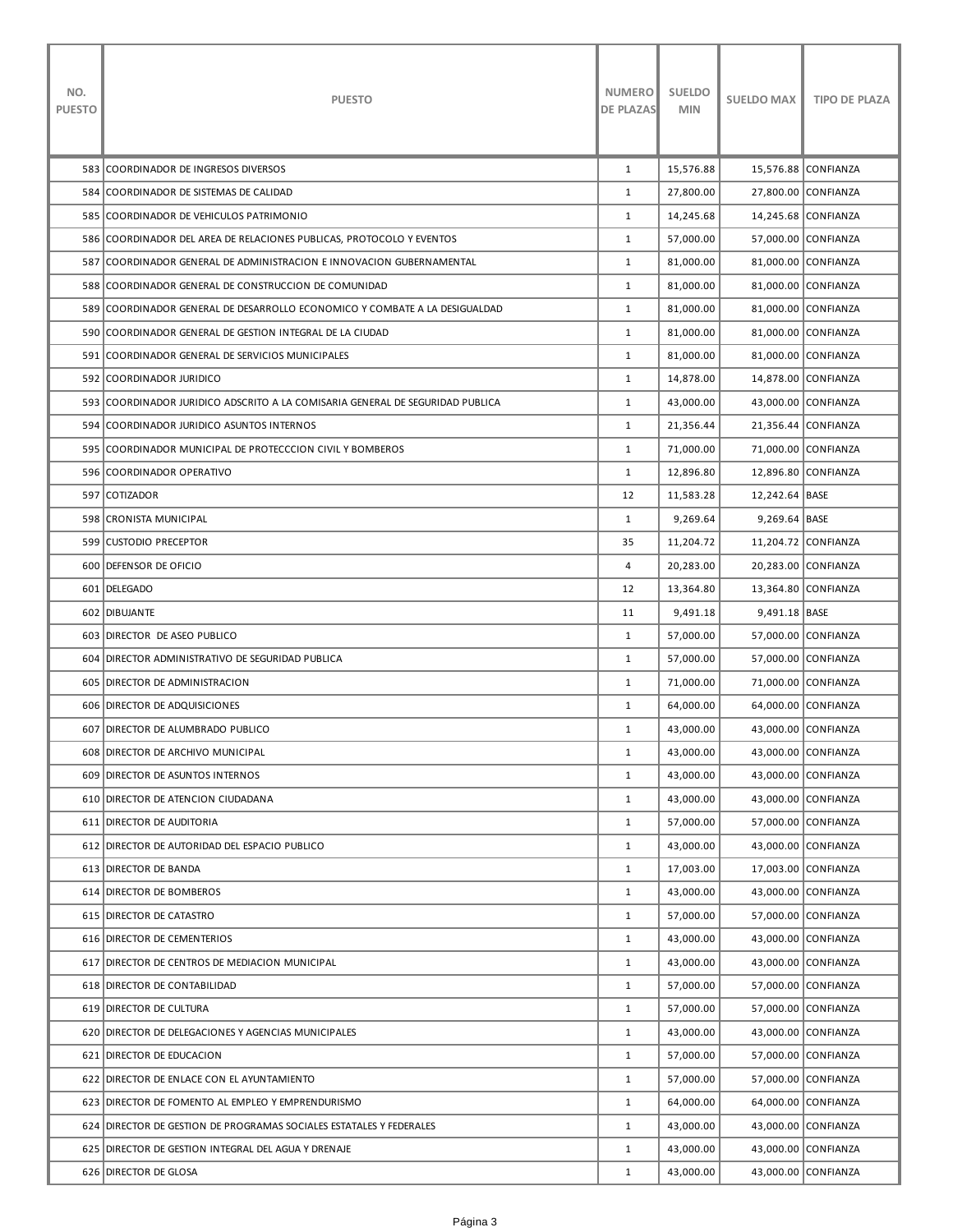| NO.<br><b>PUESTO</b> | <b>PUESTO</b>                                                                 | <b>NUMERO</b><br><b>DE PLAZAS</b> | <b>SUELDO</b><br><b>MIN</b> | <b>SUELDO MAX</b> | <b>TIPO DE PLAZA</b> |
|----------------------|-------------------------------------------------------------------------------|-----------------------------------|-----------------------------|-------------------|----------------------|
|                      | 583 COORDINADOR DE INGRESOS DIVERSOS                                          | 1                                 | 15,576.88                   |                   | 15,576.88 CONFIANZA  |
|                      | 584 COORDINADOR DE SISTEMAS DE CALIDAD                                        | $\mathbf{1}$                      | 27,800.00                   |                   | 27,800.00 CONFIANZA  |
|                      | 585 COORDINADOR DE VEHICULOS PATRIMONIO                                       | $\mathbf{1}$                      | 14,245.68                   |                   | 14,245.68 CONFIANZA  |
|                      | 586 COORDINADOR DEL AREA DE RELACIONES PUBLICAS, PROTOCOLO Y EVENTOS          | $\mathbf{1}$                      | 57,000.00                   |                   | 57,000.00 CONFIANZA  |
|                      | 587 COORDINADOR GENERAL DE ADMINISTRACION E INNOVACION GUBERNAMENTAL          | $\mathbf{1}$                      | 81,000.00                   |                   | 81,000.00 CONFIANZA  |
|                      | 588 COORDINADOR GENERAL DE CONSTRUCCION DE COMUNIDAD                          | $\mathbf{1}$                      | 81,000.00                   |                   | 81,000.00 CONFIANZA  |
|                      | 589 COORDINADOR GENERAL DE DESARROLLO ECONOMICO Y COMBATE A LA DESIGUALDAD    | $\mathbf{1}$                      | 81,000.00                   |                   | 81,000.00 CONFIANZA  |
|                      | 590 COORDINADOR GENERAL DE GESTION INTEGRAL DE LA CIUDAD                      | $\mathbf{1}$                      | 81,000.00                   |                   | 81,000.00 CONFIANZA  |
|                      | 591 COORDINADOR GENERAL DE SERVICIOS MUNICIPALES                              | $\mathbf{1}$                      | 81,000.00                   |                   | 81,000.00 CONFIANZA  |
|                      | 592 COORDINADOR JURIDICO                                                      | $\mathbf{1}$                      | 14,878.00                   |                   | 14,878.00 CONFIANZA  |
|                      | 593 COORDINADOR JURIDICO ADSCRITO A LA COMISARIA GENERAL DE SEGURIDAD PUBLICA | $\mathbf{1}$                      | 43,000.00                   |                   | 43,000.00 CONFIANZA  |
|                      | 594 COORDINADOR JURIDICO ASUNTOS INTERNOS                                     | $\mathbf{1}$                      | 21,356.44                   |                   | 21,356.44 CONFIANZA  |
|                      | 595 COORDINADOR MUNICIPAL DE PROTECCCION CIVIL Y BOMBEROS                     | $\mathbf{1}$                      | 71,000.00                   |                   | 71,000.00 CONFIANZA  |
|                      | 596 COORDINADOR OPERATIVO                                                     | $\mathbf{1}$                      | 12,896.80                   |                   | 12,896.80 CONFIANZA  |
|                      | 597 COTIZADOR                                                                 | 12                                | 11,583.28                   | 12,242.64 BASE    |                      |
|                      | 598 CRONISTA MUNICIPAL                                                        | $\mathbf{1}$                      | 9,269.64                    | 9,269.64 BASE     |                      |
|                      | 599 CUSTODIO PRECEPTOR                                                        | 35                                | 11,204.72                   |                   | 11,204.72 CONFIANZA  |
|                      | 600 DEFENSOR DE OFICIO                                                        | 4                                 | 20,283.00                   |                   | 20,283.00 CONFIANZA  |
|                      | 601 DELEGADO                                                                  | 12                                | 13,364.80                   |                   | 13,364.80 CONFIANZA  |
|                      | 602 DIBUJANTE                                                                 | 11                                | 9,491.18                    | 9,491.18 BASE     |                      |
|                      | 603 DIRECTOR DE ASEO PUBLICO                                                  | $\mathbf{1}$                      | 57,000.00                   |                   | 57,000.00 CONFIANZA  |
|                      | 604 DIRECTOR ADMINISTRATIVO DE SEGURIDAD PUBLICA                              | $\mathbf{1}$                      | 57,000.00                   |                   | 57,000.00 CONFIANZA  |
|                      | 605 DIRECTOR DE ADMINISTRACION                                                | $\mathbf{1}$                      | 71,000.00                   |                   | 71,000.00 CONFIANZA  |
|                      | 606 DIRECTOR DE ADQUISICIONES                                                 | $\mathbf{1}$                      | 64,000.00                   |                   | 64,000.00 CONFIANZA  |
|                      | 607 DIRECTOR DE ALUMBRADO PUBLICO                                             | $\mathbf{1}$                      | 43,000.00                   |                   | 43,000.00 CONFIANZA  |
|                      | 608 DIRECTOR DE ARCHIVO MUNICIPAL                                             | $\mathbf{1}$                      | 43,000.00                   |                   | 43,000.00 CONFIANZA  |
|                      | 609 DIRECTOR DE ASUNTOS INTERNOS                                              | $\mathbf{1}$                      | 43,000.00                   |                   | 43,000.00 CONFIANZA  |
|                      | 610 DIRECTOR DE ATENCION CIUDADANA                                            | $\mathbf{1}$                      | 43,000.00                   |                   | 43,000.00 CONFIANZA  |
|                      | 611 DIRECTOR DE AUDITORIA                                                     | $\mathbf{1}$                      | 57,000.00                   |                   | 57,000.00 CONFIANZA  |
|                      | 612 DIRECTOR DE AUTORIDAD DEL ESPACIO PUBLICO                                 | $\mathbf{1}$                      | 43,000.00                   |                   | 43,000.00 CONFIANZA  |
|                      | 613 DIRECTOR DE BANDA                                                         | $\mathbf{1}$                      | 17,003.00                   |                   | 17,003.00 CONFIANZA  |
|                      | 614 DIRECTOR DE BOMBEROS                                                      | $\mathbf{1}$                      | 43,000.00                   |                   | 43,000.00 CONFIANZA  |
|                      | 615 DIRECTOR DE CATASTRO                                                      | $\mathbf{1}$                      | 57,000.00                   |                   | 57,000.00 CONFIANZA  |
|                      | 616 DIRECTOR DE CEMENTERIOS                                                   | $\mathbf{1}$                      | 43,000.00                   |                   | 43,000.00 CONFIANZA  |
|                      | 617 DIRECTOR DE CENTROS DE MEDIACION MUNICIPAL                                | $\mathbf{1}$                      | 43,000.00                   |                   | 43,000.00 CONFIANZA  |
|                      | 618 DIRECTOR DE CONTABILIDAD                                                  | $\mathbf{1}$                      | 57,000.00                   |                   | 57,000.00 CONFIANZA  |
|                      | 619 DIRECTOR DE CULTURA                                                       | $\mathbf{1}$                      | 57,000.00                   |                   | 57,000.00 CONFIANZA  |
|                      | 620 DIRECTOR DE DELEGACIONES Y AGENCIAS MUNICIPALES                           | $\mathbf{1}$                      | 43,000.00                   |                   | 43,000.00 CONFIANZA  |
|                      | 621 DIRECTOR DE EDUCACION                                                     | $\mathbf{1}$                      | 57,000.00                   |                   | 57,000.00 CONFIANZA  |
|                      | 622 DIRECTOR DE ENLACE CON EL AYUNTAMIENTO                                    | $\mathbf{1}$                      | 57,000.00                   |                   | 57,000.00 CONFIANZA  |
|                      | 623 DIRECTOR DE FOMENTO AL EMPLEO Y EMPRENDURISMO                             | $\mathbf{1}$                      | 64,000.00                   |                   | 64,000.00 CONFIANZA  |
|                      | 624 DIRECTOR DE GESTION DE PROGRAMAS SOCIALES ESTATALES Y FEDERALES           | $\mathbf{1}$                      | 43,000.00                   |                   | 43,000.00 CONFIANZA  |
|                      | 625 DIRECTOR DE GESTION INTEGRAL DEL AGUA Y DRENAJE                           | $\mathbf{1}$                      | 43,000.00                   |                   | 43,000.00 CONFIANZA  |
|                      | 626 DIRECTOR DE GLOSA                                                         | $\mathbf{1}$                      | 43,000.00                   |                   | 43,000.00 CONFIANZA  |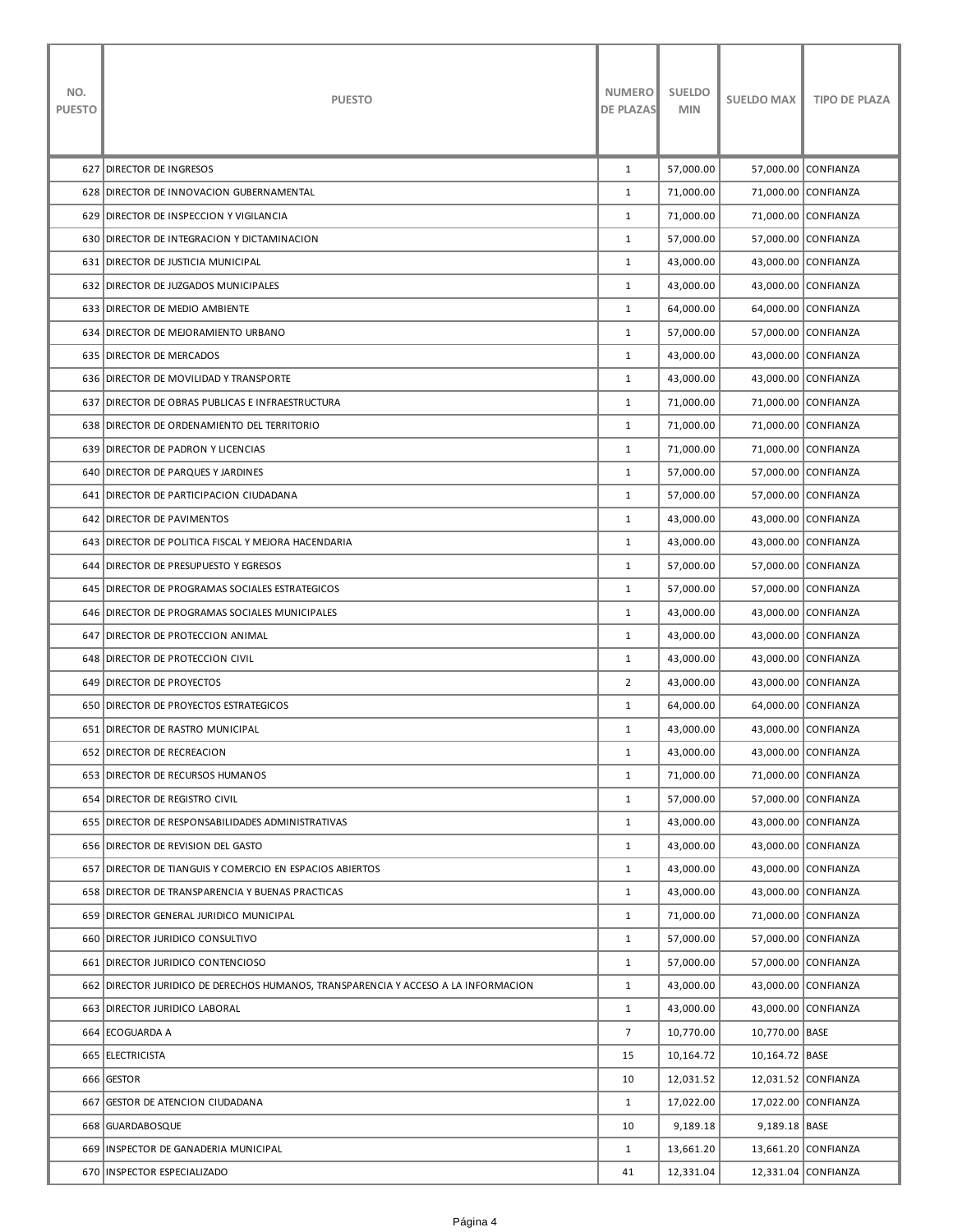| NO.<br><b>PUESTO</b> | <b>PUESTO</b>                                                                      | <b>NUMERO</b><br><b>DE PLAZAS</b> | <b>SUELDO</b><br><b>MIN</b> | <b>SUELDO MAX</b> | <b>TIPO DE PLAZA</b> |
|----------------------|------------------------------------------------------------------------------------|-----------------------------------|-----------------------------|-------------------|----------------------|
|                      | 627 DIRECTOR DE INGRESOS                                                           | 1                                 | 57,000.00                   |                   | 57,000.00 CONFIANZA  |
|                      | 628 DIRECTOR DE INNOVACION GUBERNAMENTAL                                           | $\mathbf{1}$                      | 71,000.00                   |                   | 71,000.00 CONFIANZA  |
|                      | 629 DIRECTOR DE INSPECCION Y VIGILANCIA                                            | 1                                 | 71,000.00                   |                   | 71,000.00 CONFIANZA  |
|                      | 630 DIRECTOR DE INTEGRACION Y DICTAMINACION                                        | $\mathbf{1}$                      | 57,000.00                   |                   | 57,000.00 CONFIANZA  |
|                      | 631 DIRECTOR DE JUSTICIA MUNICIPAL                                                 | $\mathbf{1}$                      | 43,000.00                   |                   | 43,000.00 CONFIANZA  |
|                      | 632   DIRECTOR DE JUZGADOS MUNICIPALES                                             | $\mathbf{1}$                      | 43,000.00                   |                   | 43,000.00 CONFIANZA  |
|                      | 633 DIRECTOR DE MEDIO AMBIENTE                                                     | 1                                 | 64,000.00                   |                   | 64,000.00 CONFIANZA  |
|                      | 634 DIRECTOR DE MEJORAMIENTO URBANO                                                | $\mathbf{1}$                      | 57,000.00                   |                   | 57,000.00 CONFIANZA  |
|                      | <b>635 DIRECTOR DE MERCADOS</b>                                                    | $\mathbf{1}$                      | 43,000.00                   |                   | 43,000.00 CONFIANZA  |
|                      | 636   DIRECTOR DE MOVILIDAD Y TRANSPORTE                                           | $\mathbf{1}$                      | 43,000.00                   |                   | 43,000.00 CONFIANZA  |
|                      | 637 DIRECTOR DE OBRAS PUBLICAS E INFRAESTRUCTURA                                   | $\mathbf{1}$                      | 71,000.00                   |                   | 71,000.00 CONFIANZA  |
|                      | 638 DIRECTOR DE ORDENAMIENTO DEL TERRITORIO                                        | $\mathbf{1}$                      | 71,000.00                   |                   | 71,000.00 CONFIANZA  |
|                      | 639 DIRECTOR DE PADRON Y LICENCIAS                                                 | $\mathbf{1}$                      | 71,000.00                   |                   | 71,000.00 CONFIANZA  |
|                      | 640 DIRECTOR DE PARQUES Y JARDINES                                                 | $\mathbf{1}$                      | 57,000.00                   |                   | 57,000.00 CONFIANZA  |
|                      | 641 DIRECTOR DE PARTICIPACION CIUDADANA                                            | $\mathbf{1}$                      | 57,000.00                   |                   | 57,000.00 CONFIANZA  |
|                      | 642   DIRECTOR DE PAVIMENTOS                                                       | $\mathbf{1}$                      | 43,000.00                   |                   | 43,000.00 CONFIANZA  |
|                      | 643 IDIRECTOR DE POLITICA FISCAL Y MEJORA HACENDARIA                               | $\mathbf{1}$                      | 43,000.00                   |                   | 43,000.00 CONFIANZA  |
|                      | 644 DIRECTOR DE PRESUPUESTO Y EGRESOS                                              | $\mathbf{1}$                      | 57,000.00                   |                   | 57,000.00 CONFIANZA  |
|                      | 645 IDIRECTOR DE PROGRAMAS SOCIALES ESTRATEGICOS                                   | $\mathbf{1}$                      | 57,000.00                   |                   | 57,000.00 CONFIANZA  |
|                      | 646   DIRECTOR DE PROGRAMAS SOCIALES MUNICIPALES                                   | $\mathbf{1}$                      | 43,000.00                   |                   | 43,000.00 CONFIANZA  |
|                      | 647 DIRECTOR DE PROTECCION ANIMAL                                                  | $\mathbf{1}$                      | 43,000.00                   |                   | 43,000.00 CONFIANZA  |
|                      | 648 DIRECTOR DE PROTECCION CIVIL                                                   | $\mathbf{1}$                      | 43,000.00                   |                   | 43,000.00 CONFIANZA  |
|                      | 649 DIRECTOR DE PROYECTOS                                                          | 2                                 | 43,000.00                   |                   | 43,000.00 CONFIANZA  |
|                      | 650   DIRECTOR DE PROYECTOS ESTRATEGICOS                                           | $\mathbf{1}$                      | 64,000.00                   |                   | 64,000.00 CONFIANZA  |
|                      | 651 DIRECTOR DE RASTRO MUNICIPAL                                                   | 1                                 | 43,000.00                   |                   | 43,000.00 CONFIANZA  |
|                      | 652 DIRECTOR DE RECREACION                                                         | $\mathbf{1}$                      | 43,000.00                   |                   | 43,000.00 CONFIANZA  |
|                      | 653 DIRECTOR DE RECURSOS HUMANOS                                                   | $\mathbf{1}$                      | 71,000.00                   |                   | 71,000.00 CONFIANZA  |
|                      | 654 DIRECTOR DE REGISTRO CIVIL                                                     | $\mathbf{1}$                      | 57,000.00                   |                   | 57,000.00 CONFIANZA  |
|                      | 655 DIRECTOR DE RESPONSABILIDADES ADMINISTRATIVAS                                  | $\mathbf{1}$                      | 43,000.00                   |                   | 43,000.00 CONFIANZA  |
|                      | 656 DIRECTOR DE REVISION DEL GASTO                                                 | $\mathbf{1}$                      | 43.000.00                   |                   | 43,000.00 CONFIANZA  |
|                      | 657 DIRECTOR DE TIANGUIS Y COMERCIO EN ESPACIOS ABIERTOS                           | $\mathbf{1}$                      | 43,000.00                   |                   | 43,000.00 CONFIANZA  |
|                      | 658 DIRECTOR DE TRANSPARENCIA Y BUENAS PRACTICAS                                   | $\mathbf{1}$                      | 43,000.00                   |                   | 43,000.00 CONFIANZA  |
|                      | 659 DIRECTOR GENERAL JURIDICO MUNICIPAL                                            | $\mathbf{1}$                      | 71,000.00                   |                   | 71,000.00 CONFIANZA  |
|                      | 660 DIRECTOR JURIDICO CONSULTIVO                                                   | $\mathbf{1}$                      | 57,000.00                   |                   | 57,000.00 CONFIANZA  |
|                      | 661 DIRECTOR JURIDICO CONTENCIOSO                                                  | $\mathbf{1}$                      | 57,000.00                   |                   | 57,000.00 CONFIANZA  |
|                      | 662 DIRECTOR JURIDICO DE DERECHOS HUMANOS, TRANSPARENCIA Y ACCESO A LA INFORMACION | $\mathbf{1}$                      | 43,000.00                   |                   | 43,000.00 CONFIANZA  |
|                      | 663 DIRECTOR JURIDICO LABORAL                                                      | $\mathbf{1}$                      | 43,000.00                   |                   | 43,000.00 CONFIANZA  |
|                      | 664 ECOGUARDA A                                                                    | $\overline{7}$                    | 10,770.00                   | 10,770.00 BASE    |                      |
|                      | 665 ELECTRICISTA                                                                   | 15                                | 10,164.72                   | 10,164.72 BASE    |                      |
|                      | 666 GESTOR                                                                         | 10                                | 12,031.52                   |                   | 12,031.52 CONFIANZA  |
|                      | 667 GESTOR DE ATENCION CIUDADANA                                                   | $\mathbf{1}$                      | 17,022.00                   |                   | 17,022.00 CONFIANZA  |
|                      | 668 GUARDABOSQUE                                                                   | 10                                | 9,189.18                    | 9,189.18 BASE     |                      |
|                      | 669 INSPECTOR DE GANADERIA MUNICIPAL                                               | $\mathbf{1}$                      | 13,661.20                   |                   | 13,661.20 CONFIANZA  |
|                      | 670   INSPECTOR ESPECIALIZADO                                                      | 41                                | 12,331.04                   |                   | 12,331.04 CONFIANZA  |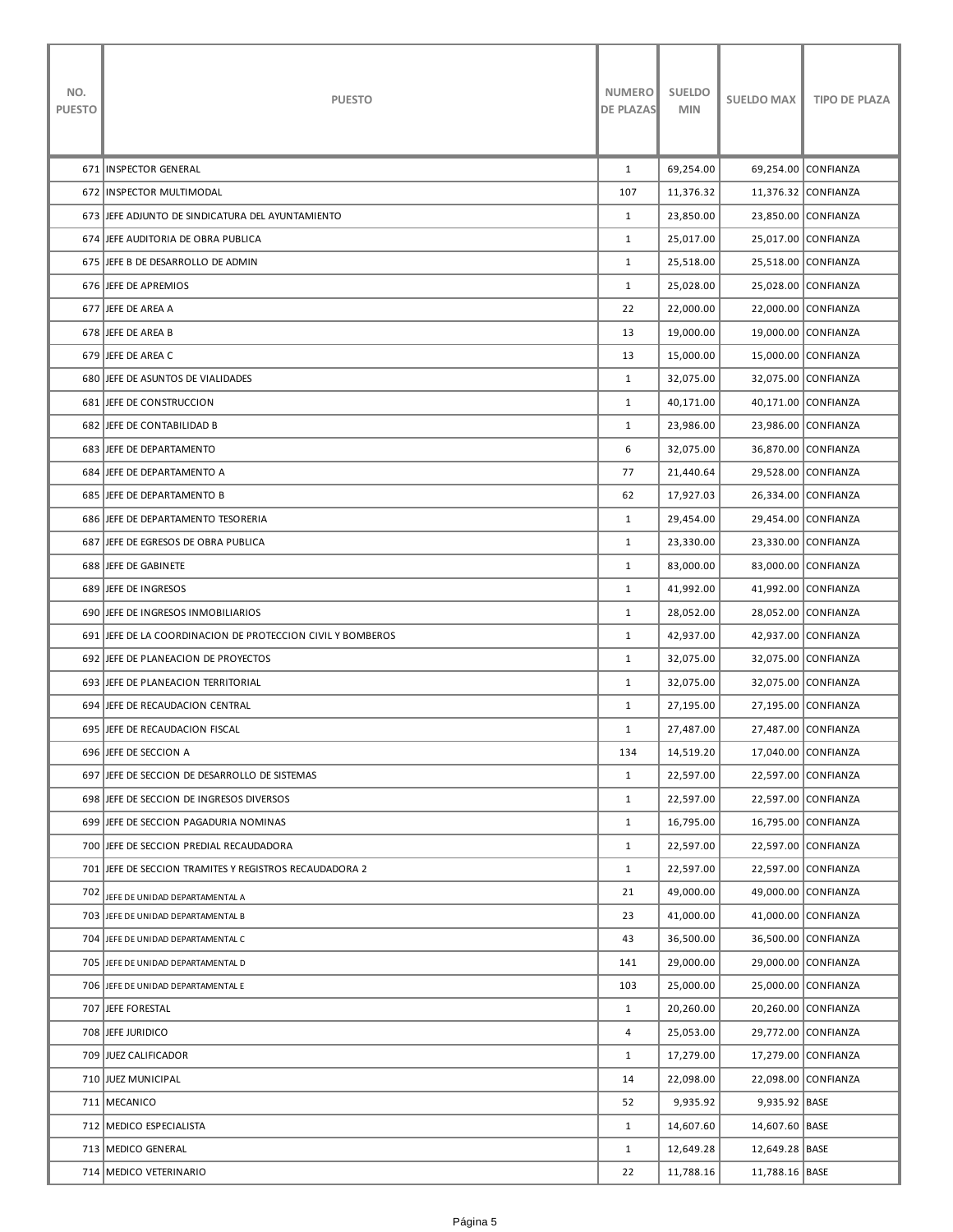| NO.<br><b>PUESTO</b> | <b>PUESTO</b>                                              | <b>NUMERO</b><br><b>DE PLAZAS</b> | <b>SUELDO</b><br><b>MIN</b> | <b>SUELDO MAX</b> | <b>TIPO DE PLAZA</b> |
|----------------------|------------------------------------------------------------|-----------------------------------|-----------------------------|-------------------|----------------------|
|                      | 671 INSPECTOR GENERAL                                      | $\mathbf{1}$                      | 69,254.00                   |                   | 69,254.00 CONFIANZA  |
|                      | 672 INSPECTOR MULTIMODAL                                   | 107                               | 11,376.32                   |                   | 11,376.32 CONFIANZA  |
|                      | 673 JEFE ADJUNTO DE SINDICATURA DEL AYUNTAMIENTO           | $\mathbf{1}$                      | 23,850.00                   |                   | 23,850.00 CONFIANZA  |
|                      | 674 JEFE AUDITORIA DE OBRA PUBLICA                         | $\mathbf{1}$                      | 25,017.00                   |                   | 25,017.00 CONFIANZA  |
|                      | 675 JEFE B DE DESARROLLO DE ADMIN                          | $\mathbf{1}$                      | 25,518.00                   |                   | 25,518.00 CONFIANZA  |
|                      | 676 JEFE DE APREMIOS                                       | $\mathbf{1}$                      | 25,028.00                   |                   | 25,028.00 CONFIANZA  |
|                      | 677 JEFE DE AREA A                                         | 22                                | 22,000.00                   |                   | 22,000.00 CONFIANZA  |
|                      | 678 JEFE DE AREA B                                         | 13                                | 19,000.00                   |                   | 19,000.00 CONFIANZA  |
|                      | 679 JEFE DE AREA C                                         | 13                                | 15,000.00                   |                   | 15,000.00 CONFIANZA  |
|                      | 680 JEFE DE ASUNTOS DE VIALIDADES                          | $\mathbf{1}$                      | 32,075.00                   |                   | 32,075.00 CONFIANZA  |
|                      | <b>681 JEFE DE CONSTRUCCION</b>                            | $\mathbf{1}$                      | 40,171.00                   |                   | 40,171.00 CONFIANZA  |
|                      | 682 JEFE DE CONTABILIDAD B                                 | $\mathbf{1}$                      | 23,986.00                   |                   | 23,986.00 CONFIANZA  |
|                      | 683 JEFE DE DEPARTAMENTO                                   | 6                                 | 32,075.00                   |                   | 36,870.00 CONFIANZA  |
|                      | 684 JEFE DE DEPARTAMENTO A                                 | 77                                | 21,440.64                   |                   | 29,528.00 CONFIANZA  |
|                      | 685 JEFE DE DEPARTAMENTO B                                 | 62                                | 17,927.03                   |                   | 26,334.00 CONFIANZA  |
|                      | 686 JEFE DE DEPARTAMENTO TESORERIA                         | $\mathbf{1}$                      | 29,454.00                   |                   | 29,454.00 CONFIANZA  |
|                      | 687 JEFE DE EGRESOS DE OBRA PUBLICA                        | $\mathbf{1}$                      | 23,330.00                   |                   | 23,330.00 CONFIANZA  |
|                      | 688 JEFE DE GABINETE                                       | $\mathbf{1}$                      | 83,000.00                   |                   | 83,000.00 CONFIANZA  |
|                      | 689 JEFE DE INGRESOS                                       | $\mathbf{1}$                      | 41,992.00                   |                   | 41,992.00 CONFIANZA  |
|                      | 690 JEFE DE INGRESOS INMOBILIARIOS                         | $\mathbf{1}$                      | 28,052.00                   |                   | 28,052.00 CONFIANZA  |
|                      | 691 JEFE DE LA COORDINACION DE PROTECCION CIVIL Y BOMBEROS | $\mathbf{1}$                      | 42,937.00                   |                   | 42,937.00 CONFIANZA  |
|                      | 692 JEFE DE PLANEACION DE PROYECTOS                        | $\mathbf{1}$                      | 32,075.00                   |                   | 32,075.00 CONFIANZA  |
|                      | 693 JEFE DE PLANEACION TERRITORIAL                         | $\mathbf{1}$                      | 32,075.00                   |                   | 32,075.00 CONFIANZA  |
|                      | 694 JEFE DE RECAUDACION CENTRAL                            | $\mathbf{1}$                      | 27,195.00                   |                   | 27,195.00 CONFIANZA  |
|                      | 695 JEFE DE RECAUDACION FISCAL                             | $\mathbf{1}$                      | 27,487.00                   |                   | 27,487.00 CONFIANZA  |
|                      | 696 JEFE DE SECCION A                                      | 134                               | 14,519.20                   |                   | 17,040.00 CONFIANZA  |
|                      | 697 JEFE DE SECCION DE DESARROLLO DE SISTEMAS              | $\mathbf{1}$                      | 22,597.00                   |                   | 22,597.00 CONFIANZA  |
|                      | 698 JEFE DE SECCION DE INGRESOS DIVERSOS                   | $\mathbf{1}$                      | 22,597.00                   |                   | 22,597.00 CONFIANZA  |
|                      | 699 JEFE DE SECCION PAGADURIA NOMINAS                      | $\mathbf{1}$                      | 16,795.00                   |                   | 16,795.00 CONFIANZA  |
|                      | 700 JEFE DE SECCION PREDIAL RECAUDADORA                    | $\mathbf{1}$                      | 22,597.00                   |                   | 22,597.00 CONFIANZA  |
|                      | 701 JEFE DE SECCION TRAMITES Y REGISTROS RECAUDADORA 2     | $\mathbf{1}$                      | 22,597.00                   |                   | 22,597.00 CONFIANZA  |
| 702                  | JEFE DE UNIDAD DEPARTAMENTAL A                             | 21                                | 49,000.00                   |                   | 49,000.00 CONFIANZA  |
|                      | 703 JEFE DE UNIDAD DEPARTAMENTAL B                         | 23                                | 41,000.00                   |                   | 41,000.00 CONFIANZA  |
|                      | 704 JEFE DE UNIDAD DEPARTAMENTAL C                         | 43                                | 36,500.00                   |                   | 36,500.00 CONFIANZA  |
|                      | 705 JEFE DE UNIDAD DEPARTAMENTAL D                         | 141                               | 29,000.00                   |                   | 29,000.00 CONFIANZA  |
|                      | 706 JEFE DE UNIDAD DEPARTAMENTAL E                         | 103                               | 25,000.00                   |                   | 25,000.00 CONFIANZA  |
|                      | 707 JEFE FORESTAL                                          | $\mathbf{1}$                      | 20,260.00                   |                   | 20,260.00 CONFIANZA  |
|                      | 708 JEFE JURIDICO                                          | $\overline{4}$                    | 25,053.00                   |                   | 29,772.00 CONFIANZA  |
|                      | 709 JUEZ CALIFICADOR                                       | $\mathbf{1}$                      | 17,279.00                   |                   | 17,279.00 CONFIANZA  |
|                      | 710 JUEZ MUNICIPAL                                         | 14                                | 22,098.00                   |                   | 22,098.00 CONFIANZA  |
|                      | 711 MECANICO                                               | 52                                | 9,935.92                    | 9,935.92 BASE     |                      |
|                      | 712 MEDICO ESPECIALISTA                                    | $\mathbf{1}$                      | 14,607.60                   | 14,607.60 BASE    |                      |
|                      | 713 MEDICO GENERAL                                         | $\mathbf{1}$                      | 12,649.28                   | 12,649.28 BASE    |                      |
|                      | 714 MEDICO VETERINARIO                                     | 22                                | 11,788.16                   | 11,788.16 BASE    |                      |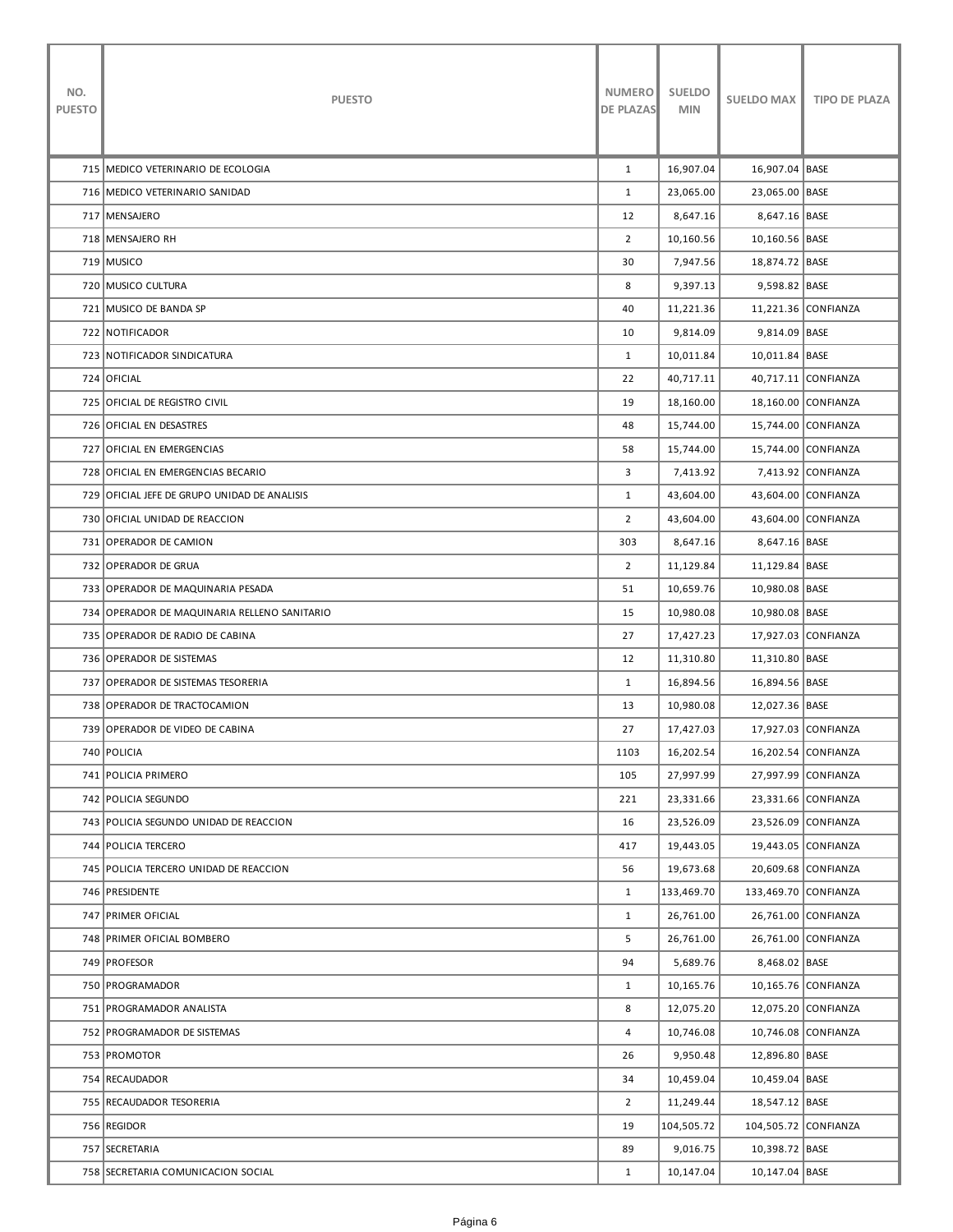| NO.<br><b>PUESTO</b> | <b>PUESTO</b>                                | <b>NUMERO</b><br><b>DE PLAZAS</b> | <b>SUELDO</b><br><b>MIN</b> | <b>SUELDO MAX</b>    | <b>TIPO DE PLAZA</b> |
|----------------------|----------------------------------------------|-----------------------------------|-----------------------------|----------------------|----------------------|
|                      | 715   MEDICO VETERINARIO DE ECOLOGIA         | $\mathbf{1}$                      | 16,907.04                   | 16,907.04   BASE     |                      |
|                      | 716   MEDICO VETERINARIO SANIDAD             | $\mathbf{1}$                      | 23,065.00                   | 23,065.00 BASE       |                      |
|                      | 717 MENSAJERO                                | 12                                | 8,647.16                    | 8,647.16 BASE        |                      |
|                      | 718   MENSAJERO RH                           | $\overline{2}$                    | 10,160.56                   | 10,160.56 BASE       |                      |
|                      | 719 MUSICO                                   | 30                                | 7,947.56                    | 18,874.72 BASE       |                      |
|                      | 720 MUSICO CULTURA                           | 8                                 | 9,397.13                    | 9,598.82 BASE        |                      |
|                      | 721 MUSICO DE BANDA SP                       | 40                                | 11,221.36                   |                      | 11,221.36 CONFIANZA  |
|                      | 722 NOTIFICADOR                              | 10                                | 9,814.09                    | 9,814.09 BASE        |                      |
|                      | 723 NOTIFICADOR SINDICATURA                  | $\mathbf{1}$                      | 10,011.84                   | 10,011.84   BASE     |                      |
|                      | 724 OFICIAL                                  | 22                                | 40,717.11                   |                      | 40,717.11 CONFIANZA  |
|                      | 725 OFICIAL DE REGISTRO CIVIL                | 19                                | 18,160.00                   |                      | 18,160.00 CONFIANZA  |
|                      | 726 OFICIAL EN DESASTRES                     | 48                                | 15,744.00                   |                      | 15,744.00 CONFIANZA  |
|                      | 727 OFICIAL EN EMERGENCIAS                   | 58                                | 15,744.00                   |                      | 15,744.00 CONFIANZA  |
|                      | 728 OFICIAL EN EMERGENCIAS BECARIO           | 3                                 | 7,413.92                    |                      | 7,413.92 CONFIANZA   |
|                      | 729 OFICIAL JEFE DE GRUPO UNIDAD DE ANALISIS | $\mathbf{1}$                      | 43,604.00                   |                      | 43,604.00 CONFIANZA  |
|                      | 730 OFICIAL UNIDAD DE REACCION               | $\overline{2}$                    | 43,604.00                   |                      | 43,604.00 CONFIANZA  |
|                      | 731 OPERADOR DE CAMION                       | 303                               | 8,647.16                    | 8,647.16 BASE        |                      |
|                      | 732 OPERADOR DE GRUA                         | $\overline{2}$                    | 11,129.84                   | 11,129.84   BASE     |                      |
|                      | 733 OPERADOR DE MAQUINARIA PESADA            | 51                                | 10,659.76                   | 10,980.08 BASE       |                      |
|                      | 734 OPERADOR DE MAQUINARIA RELLENO SANITARIO | 15                                | 10,980.08                   | 10,980.08   BASE     |                      |
|                      | 735 OPERADOR DE RADIO DE CABINA              | 27                                | 17,427.23                   |                      | 17,927.03 CONFIANZA  |
|                      | 736 OPERADOR DE SISTEMAS                     | 12                                | 11,310.80                   | 11,310.80   BASE     |                      |
|                      | 737 OPERADOR DE SISTEMAS TESORERIA           | $\mathbf{1}$                      | 16,894.56                   | 16,894.56 BASE       |                      |
|                      | 738 OPERADOR DE TRACTOCAMION                 | 13                                | 10,980.08                   | 12,027.36 BASE       |                      |
|                      | 739 OPERADOR DE VIDEO DE CABINA              | 27                                | 17,427.03                   |                      | 17,927.03 CONFIANZA  |
|                      | 740 POLICIA                                  | 1103                              | 16,202.54                   |                      | 16,202.54 CONFIANZA  |
|                      | 741 POLICIA PRIMERO                          | 105                               | 27,997.99                   |                      | 27,997.99 CONFIANZA  |
|                      | 742 POLICIA SEGUNDO                          | 221                               | 23,331.66                   |                      | 23,331.66 CONFIANZA  |
|                      | 743 POLICIA SEGUNDO UNIDAD DE REACCION       | 16                                | 23,526.09                   |                      | 23,526.09 CONFIANZA  |
|                      | 744   POLICIA TERCERO                        | 417                               | 19,443.05                   |                      | 19,443.05 CONFIANZA  |
|                      | 745 POLICIA TERCERO UNIDAD DE REACCION       | 56                                | 19,673.68                   |                      | 20,609.68 CONFIANZA  |
|                      | 746   PRESIDENTE                             | $\mathbf{1}$                      | 133,469.70                  | 133,469.70 CONFIANZA |                      |
|                      | 747 PRIMER OFICIAL                           | $\mathbf{1}$                      | 26,761.00                   |                      | 26,761.00 CONFIANZA  |
|                      | 748 PRIMER OFICIAL BOMBERO                   | 5                                 | 26,761.00                   |                      | 26,761.00 CONFIANZA  |
|                      | 749 PROFESOR                                 | 94                                | 5,689.76                    | 8,468.02 BASE        |                      |
|                      | 750   PROGRAMADOR                            | $\mathbf{1}$                      | 10,165.76                   |                      | 10,165.76 CONFIANZA  |
|                      | 751 PROGRAMADOR ANALISTA                     | 8                                 | 12,075.20                   |                      | 12,075.20 CONFIANZA  |
|                      | 752 PROGRAMADOR DE SISTEMAS                  | $\overline{4}$                    | 10,746.08                   |                      | 10,746.08 CONFIANZA  |
|                      | 753 PROMOTOR                                 | 26                                | 9,950.48                    | 12,896.80 BASE       |                      |
|                      | 754 RECAUDADOR                               | 34                                | 10,459.04                   | 10,459.04 BASE       |                      |
|                      | 755 RECAUDADOR TESORERIA                     | $\overline{2}$                    | 11,249.44                   | 18,547.12 BASE       |                      |
|                      | 756 REGIDOR                                  | 19                                | 104,505.72                  | 104,505.72 CONFIANZA |                      |
|                      | 757 SECRETARIA                               | 89                                | 9,016.75                    | 10,398.72 BASE       |                      |
|                      | 758 SECRETARIA COMUNICACION SOCIAL           | $\mathbf{1}$                      | 10,147.04                   | 10,147.04 BASE       |                      |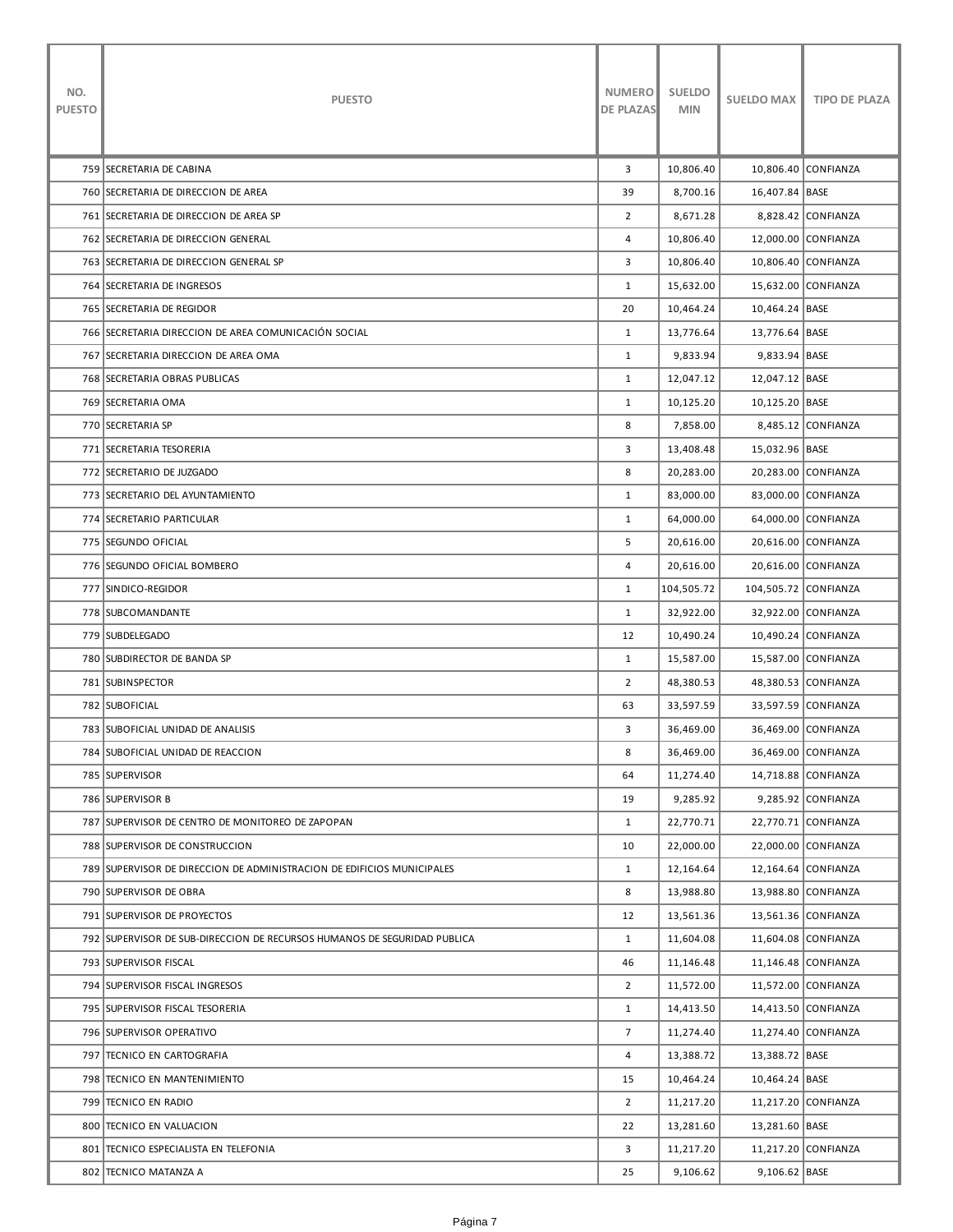| NO.<br><b>PUESTO</b> | <b>PUESTO</b>                                                            | <b>NUMERO</b><br>DE PLAZAS | <b>SUELDO</b><br><b>MIN</b> | <b>SUELDO MAX</b>    | <b>TIPO DE PLAZA</b> |
|----------------------|--------------------------------------------------------------------------|----------------------------|-----------------------------|----------------------|----------------------|
|                      | 759 SECRETARIA DE CABINA                                                 | 3                          | 10,806.40                   |                      | 10,806.40 CONFIANZA  |
|                      | 760 SECRETARIA DE DIRECCION DE AREA                                      | 39                         | 8,700.16                    | 16,407.84 BASE       |                      |
|                      | 761 SECRETARIA DE DIRECCION DE AREA SP                                   | $\overline{2}$             | 8,671.28                    |                      | 8,828.42 CONFIANZA   |
|                      | 762 SECRETARIA DE DIRECCION GENERAL                                      | 4                          | 10,806.40                   |                      | 12,000.00 CONFIANZA  |
|                      | 763 SECRETARIA DE DIRECCION GENERAL SP                                   | 3                          | 10,806.40                   |                      | 10,806.40 CONFIANZA  |
|                      | 764 SECRETARIA DE INGRESOS                                               | $\mathbf{1}$               | 15,632.00                   |                      | 15,632.00 CONFIANZA  |
|                      | 765 SECRETARIA DE REGIDOR                                                | 20                         | 10,464.24                   | 10,464.24 BASE       |                      |
|                      | 766 SECRETARIA DIRECCION DE AREA COMUNICACIÓN SOCIAL                     | $\mathbf{1}$               | 13,776.64                   | 13,776.64 BASE       |                      |
|                      | 767 SECRETARIA DIRECCION DE AREA OMA                                     | $\mathbf{1}$               | 9,833.94                    | 9,833.94 BASE        |                      |
|                      | 768 SECRETARIA OBRAS PUBLICAS                                            | $\mathbf{1}$               | 12,047.12                   | 12,047.12 BASE       |                      |
|                      | 769 SECRETARIA OMA                                                       | $\mathbf{1}$               | 10,125.20                   | 10,125.20 BASE       |                      |
|                      | 770 SECRETARIA SP                                                        | 8                          | 7,858.00                    |                      | 8,485.12 CONFIANZA   |
|                      | 771 SECRETARIA TESORERIA                                                 | 3                          | 13,408.48                   | 15,032.96 BASE       |                      |
|                      | 772 SECRETARIO DE JUZGADO                                                | 8                          | 20,283.00                   |                      | 20,283.00 CONFIANZA  |
|                      | 773 SECRETARIO DEL AYUNTAMIENTO                                          | $\mathbf{1}$               | 83,000.00                   |                      | 83,000.00 CONFIANZA  |
|                      | 774 SECRETARIO PARTICULAR                                                | $\mathbf{1}$               | 64,000.00                   |                      | 64,000.00 CONFIANZA  |
|                      | 775 SEGUNDO OFICIAL                                                      | 5                          | 20,616.00                   |                      | 20,616.00 CONFIANZA  |
|                      | 776 SEGUNDO OFICIAL BOMBERO                                              | 4                          | 20,616.00                   |                      | 20,616.00 CONFIANZA  |
|                      | 777 SINDICO-REGIDOR                                                      | $\mathbf{1}$               | 104,505.72                  | 104,505.72 CONFIANZA |                      |
|                      | 778   SUBCOMANDANTE                                                      | $\mathbf{1}$               | 32,922.00                   |                      | 32,922.00 CONFIANZA  |
|                      | 779   SUBDELEGADO                                                        | 12                         | 10,490.24                   |                      | 10,490.24 CONFIANZA  |
|                      | 780 SUBDIRECTOR DE BANDA SP                                              | $\mathbf{1}$               | 15,587.00                   |                      | 15,587.00 CONFIANZA  |
|                      | 781 SUBINSPECTOR                                                         | 2                          | 48,380.53                   |                      | 48,380.53 CONFIANZA  |
|                      | 782 SUBOFICIAL                                                           | 63                         | 33,597.59                   |                      | 33,597.59 CONFIANZA  |
|                      | 783 SUBOFICIAL UNIDAD DE ANALISIS                                        | 3                          | 36,469.00                   |                      | 36,469.00 CONFIANZA  |
|                      | 784 SUBOFICIAL UNIDAD DE REACCION                                        | 8                          | 36,469.00                   |                      | 36,469.00 CONFIANZA  |
|                      | 785 SUPERVISOR                                                           | 64                         | 11,274.40                   |                      | 14,718.88 CONFIANZA  |
|                      | 786 SUPERVISOR B                                                         | 19                         | 9,285.92                    |                      | 9,285.92 CONFIANZA   |
|                      | 787 SUPERVISOR DE CENTRO DE MONITOREO DE ZAPOPAN                         | $\mathbf{1}$               | 22,770.71                   |                      | 22,770.71 CONFIANZA  |
|                      | 788 SUPERVISOR DE CONSTRUCCION                                           | 10                         | 22,000.00                   |                      | 22,000.00 CONFIANZA  |
|                      | 789 SUPERVISOR DE DIRECCION DE ADMINISTRACION DE EDIFICIOS MUNICIPALES   | $\mathbf{1}$               | 12,164.64                   |                      | 12,164.64 CONFIANZA  |
|                      | 790 SUPERVISOR DE OBRA                                                   | 8                          | 13,988.80                   |                      | 13,988.80 CONFIANZA  |
|                      | 791 SUPERVISOR DE PROYECTOS                                              | 12                         | 13,561.36                   |                      | 13,561.36 CONFIANZA  |
|                      | 792 SUPERVISOR DE SUB-DIRECCION DE RECURSOS HUMANOS DE SEGURIDAD PUBLICA | $\mathbf{1}$               | 11,604.08                   |                      | 11,604.08 CONFIANZA  |
|                      | 793 SUPERVISOR FISCAL                                                    | 46                         | 11,146.48                   |                      | 11,146.48 CONFIANZA  |
|                      | 794   SUPERVISOR FISCAL INGRESOS                                         | $\overline{2}$             | 11,572.00                   |                      | 11,572.00 CONFIANZA  |
|                      | 795   SUPERVISOR FISCAL TESORERIA                                        | $\mathbf{1}$               | 14,413.50                   |                      | 14,413.50 CONFIANZA  |
|                      | 796 SUPERVISOR OPERATIVO                                                 | $7\overline{ }$            | 11,274.40                   |                      | 11,274.40 CONFIANZA  |
|                      | 797 TECNICO EN CARTOGRAFIA                                               | 4                          | 13,388.72                   | 13,388.72 BASE       |                      |
|                      | 798 TECNICO EN MANTENIMIENTO                                             | 15                         | 10,464.24                   | 10,464.24 BASE       |                      |
|                      | 799 TECNICO EN RADIO                                                     | $\overline{2}$             | 11,217.20                   |                      | 11,217.20 CONFIANZA  |
|                      | 800 TECNICO EN VALUACION                                                 | 22                         | 13,281.60                   | 13,281.60 BASE       |                      |
|                      | 801 TECNICO ESPECIALISTA EN TELEFONIA                                    | 3                          | 11,217.20                   |                      | 11,217.20 CONFIANZA  |
|                      | 802 TECNICO MATANZA A                                                    | 25                         | 9,106.62                    | 9,106.62 BASE        |                      |